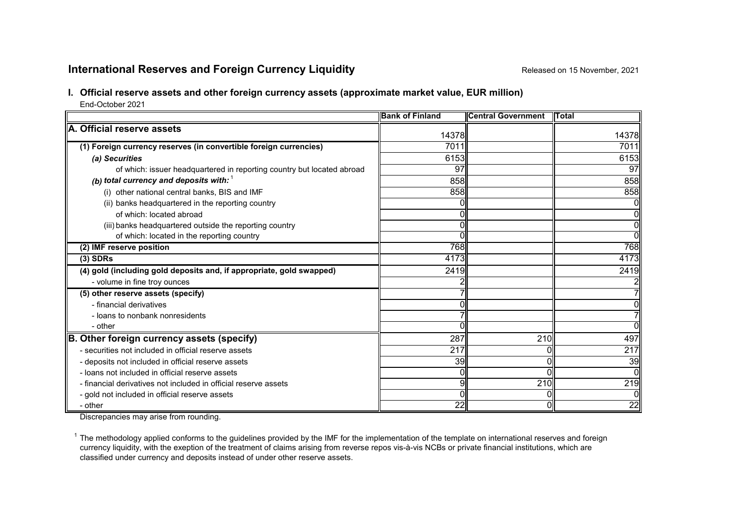# **International Reserves and Foreign Currency Liquidity Released on 15 November, 2021**

# **I. Official reserve assets and other foreign currency assets (approximate market value, EUR million)**

End-October 2021

|                                                                        | <b>Bank of Finland</b> | <b>Central Government</b> | <b>ITotal</b>  |
|------------------------------------------------------------------------|------------------------|---------------------------|----------------|
| A. Official reserve assets                                             | 14378                  |                           | 14378          |
|                                                                        |                        |                           |                |
| (1) Foreign currency reserves (in convertible foreign currencies)      | 7011                   |                           | 7011           |
| (a) Securities                                                         | 6153                   |                           | 6153           |
| of which: issuer headquartered in reporting country but located abroad | 97                     |                           | 97             |
| (b) total currency and deposits with: $1$                              | 858                    |                           | 858            |
| (i) other national central banks, BIS and IMF                          | 858                    |                           | 858            |
| (ii) banks headquartered in the reporting country                      |                        |                           | Οl             |
| of which: located abroad                                               |                        |                           | $\overline{0}$ |
| (iii) banks headquartered outside the reporting country                |                        |                           | Οl             |
| of which: located in the reporting country                             |                        |                           | σI             |
| (2) IMF reserve position                                               | 768                    |                           | 768            |
| $(3)$ SDRs                                                             | 4173                   |                           | 4173           |
| (4) gold (including gold deposits and, if appropriate, gold swapped)   | 2419                   |                           | 2419           |
| - volume in fine troy ounces                                           |                        |                           |                |
| (5) other reserve assets (specify)                                     |                        |                           |                |
| - financial derivatives                                                |                        |                           | Οl             |
| - loans to nonbank nonresidents                                        |                        |                           | 71             |
| - other                                                                |                        |                           | ΩI             |
| B. Other foreign currency assets (specify)                             | 287                    | 210                       | 497            |
| - securities not included in official reserve assets                   | 217                    |                           | 217            |
| - deposits not included in official reserve assets                     | 39                     |                           | 39             |
| - loans not included in official reserve assets                        |                        |                           | Οl             |
| - financial derivatives not included in official reserve assets        | 9                      | 210                       | 219            |
| - gold not included in official reserve assets                         |                        |                           | Οl             |
| - other                                                                | 22                     |                           | 22             |

Discrepancies may arise from rounding.

 $1$  The methodology applied conforms to the guidelines provided by the IMF for the implementation of the template on international reserves and foreign currency liquidity, with the exeption of the treatment of claims arising from reverse repos vis-à-vis NCBs or private financial institutions, which are classified under currency and deposits instead of under other reserve assets.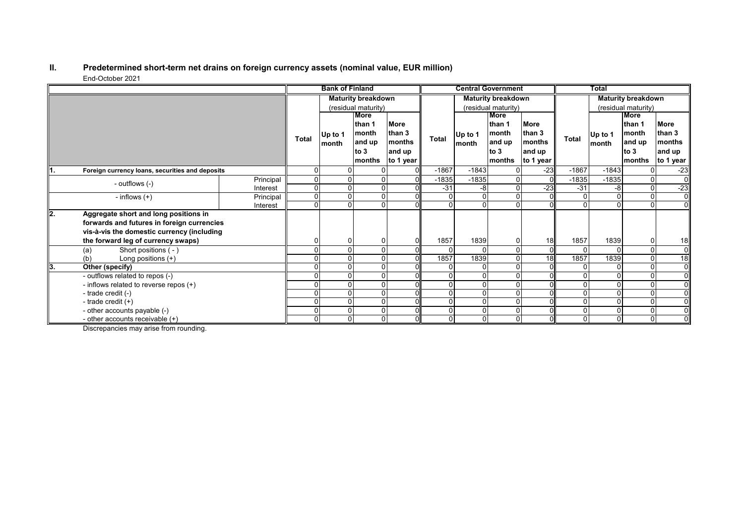#### **II. Predetermined short-term net drains on foreign currency assets (nominal value, EUR million)** End-October 2021  $\sim$

|    |                                                 |                | <b>Bank of Finland</b>    |         |        |                     | <b>Central Government</b> |          |               | <b>Total</b>        |                           |                |             |                |
|----|-------------------------------------------------|----------------|---------------------------|---------|--------|---------------------|---------------------------|----------|---------------|---------------------|---------------------------|----------------|-------------|----------------|
|    |                                                 |                | <b>Maturity breakdown</b> |         |        |                     | <b>Maturity breakdown</b> |          |               |                     | <b>Maturity breakdown</b> |                |             |                |
|    |                                                 |                | (residual maturity)       |         |        | (residual maturity) |                           |          |               | (residual maturity) |                           |                |             |                |
|    |                                                 |                |                           | More    |        |                     |                           |          | <b>More</b>   |                     |                           |                | <b>More</b> |                |
|    |                                                 |                |                           |         | than 1 | <b>More</b>         |                           |          | than 1        | <b>More</b>         |                           |                | lthan 1     | More           |
|    |                                                 |                |                           | Up to 1 | month  | than 3              |                           | Up to 1  | <b>Imonth</b> | than 3              |                           | Up to 1        | month       | than 3         |
|    |                                                 |                | Total                     | month   | and up | <b>Imonths</b>      | Total                     | month    | and up        | months              | Total                     | month          | and up      | <b>months</b>  |
|    |                                                 |                |                           |         | to $3$ | and up              |                           |          | to $3$        | and up              |                           |                | to $3$      | and up         |
|    |                                                 |                |                           |         | months | to 1 year           |                           |          | months        | to 1 year           |                           |                | months      | to 1 year      |
|    | Foreign currency loans, securities and deposits |                | $\Omega$                  |         |        |                     | $-1867$                   | $-1843$  | $\Omega$      | $-23$               | $-1867$                   | $-1843$        |             | $-23$          |
|    | - outflows (-)                                  | Principal      | $\overline{0}$            |         |        |                     | $-1835$                   | $-1835$  | $\Omega$      | $\Omega$            | $-1835$                   | $-1835$        | $\Omega$    | $\overline{0}$ |
|    | Interest                                        | $\overline{0}$ | $\Omega$                  |         |        | $-31$               | -8                        | $\Omega$ | $-23$         | $-31$               | $-8$                      | $\Omega$       | $-23$       |                |
|    | - inflows $(+)$                                 | Principal      | $\Omega$                  | O       |        |                     |                           |          | $\Omega$      | $\Omega$            | 0                         | $\overline{0}$ | 0           | $\overline{0}$ |
|    |                                                 | Interest       | $\Omega$                  |         |        |                     |                           |          | $\Omega$      | $\Omega$            | 0                         | $\Omega$       | $\Omega$    | $\overline{0}$ |
| 2. | Aggregate short and long positions in           |                |                           |         |        |                     |                           |          |               |                     |                           |                |             |                |
|    | forwards and futures in foreign currencies      |                |                           |         |        |                     |                           |          |               |                     |                           |                |             |                |
|    | vis-à-vis the domestic currency (including      |                |                           |         |        |                     |                           |          |               |                     |                           |                |             |                |
|    | the forward leg of currency swaps)              |                | $\Omega$                  | O       |        |                     | 1857                      | 1839     | $\Omega$      | 18                  | 1857                      | 1839           | 0           | 18             |
|    | Short positions ( - )<br>(a)                    |                | 0                         |         |        |                     |                           |          | $\Omega$      | $\Omega$            | 0                         | $\Omega$       | $\Omega$    | $\overline{0}$ |
|    | (b)<br>Long positions $(+)$                     |                | $\Omega$                  |         |        |                     | 1857                      | 1839     | $\Omega$      | 18                  | 1857                      | 1839           | $\Omega$    | 18             |
| 3. | Other (specify)                                 |                | $\Omega$                  |         |        |                     |                           |          | $\Omega$      | $\Omega$            |                           | $\Omega$       |             | $\overline{0}$ |
|    | - outflows related to repos (-)                 |                | $\Omega$                  |         |        |                     |                           |          | $\Omega$      | $\Omega$            | 0                         | $\Omega$       |             | $\overline{0}$ |
|    | - inflows related to reverse repos (+)          |                | $\Omega$                  |         |        |                     |                           |          | $\Omega$      | $\Omega$            |                           | $\Omega$       |             | $\overline{0}$ |
|    | - trade credit (-)                              |                | $\Omega$                  |         |        |                     |                           |          | $\Omega$      | $\Omega$            |                           | $\overline{0}$ |             | $\overline{0}$ |
|    | - trade credit $(+)$                            |                | $\Omega$                  |         |        |                     |                           |          | $\Omega$      | $\Omega$            |                           | $\Omega$       | $\Omega$    | $\overline{0}$ |
|    | - other accounts payable (-)                    |                | $\Omega$                  |         |        |                     |                           |          | $\Omega$      | $\Omega$            | 0                         | $\overline{0}$ |             | $\overline{0}$ |
|    | - other accounts receivable (+)                 |                | $\overline{0}$            | 0       |        |                     |                           |          | $\mathbf{0}$  | 0                   | 0                         | $\overline{0}$ | $\Omega$    | $\overline{0}$ |

Discrepancies may arise from rounding.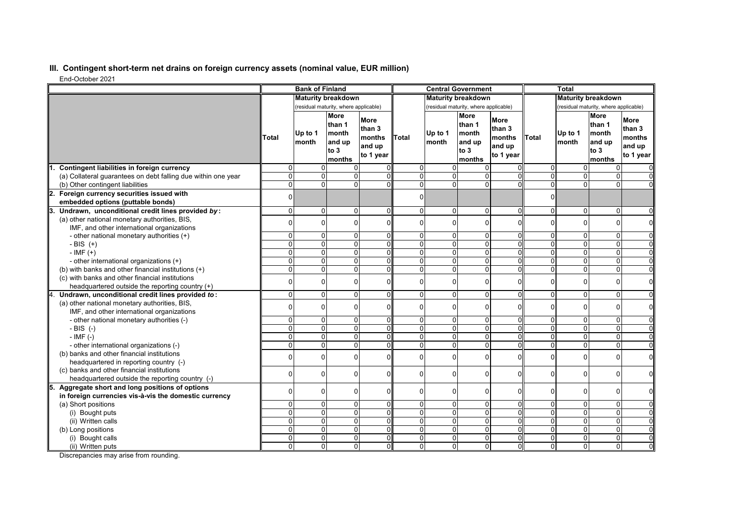## **III. Contingent short-term net drains on foreign currency assets (nominal value, EUR million)**

End-October 2021

|                                                               |                           | <b>Bank of Finland</b>                |                                                              |                                                 |                   |                                       | <b>Central Government</b>                                  |                                                 |                                       | Total             |                                                            |                                                        |
|---------------------------------------------------------------|---------------------------|---------------------------------------|--------------------------------------------------------------|-------------------------------------------------|-------------------|---------------------------------------|------------------------------------------------------------|-------------------------------------------------|---------------------------------------|-------------------|------------------------------------------------------------|--------------------------------------------------------|
|                                                               | <b>Maturity breakdown</b> |                                       |                                                              | <b>Maturity breakdown</b>                       |                   |                                       | <b>Maturity breakdown</b>                                  |                                                 |                                       |                   |                                                            |                                                        |
|                                                               |                           | (residual maturity, where applicable) |                                                              |                                                 |                   | (residual maturity, where applicable) |                                                            |                                                 | (residual maturity, where applicable) |                   |                                                            |                                                        |
|                                                               | Total                     | Up to 1<br>Imonth                     | <b>More</b><br>than 1<br>month<br>and up<br>to $3$<br>months | More<br>than 3<br>months<br>and up<br>to 1 year | <b>Total</b>      | Up to 1<br>month                      | <b>More</b><br>than 1<br>month<br>and up<br>to 3<br>months | More<br>than 3<br>months<br>and up<br>to 1 year | Total                                 | Up to 1<br>Imonth | <b>More</b><br>than 1<br>month<br>and up<br>to 3<br>months | <b>More</b><br>than 3<br>months<br>and up<br>to 1 year |
| Contingent liabilities in foreign currency                    | $\Omega$                  | 0                                     | $\Omega$                                                     |                                                 | $\mathbf 0$       | U                                     |                                                            |                                                 | $\overline{0}$                        | $\Omega$          | 0                                                          |                                                        |
| (a) Collateral guarantees on debt falling due within one year | $\Omega$                  | $\Omega$                              | $\Omega$                                                     |                                                 | $\Omega$          | $\overline{0}$                        | $\Omega$                                                   |                                                 | $\overline{0}$                        | $\overline{0}$    | 0                                                          |                                                        |
| (b) Other contingent liabilities                              | $\overline{0}$            | $\overline{0}$                        | $\overline{0}$                                               |                                                 | $\overline{0}$    | $\overline{0}$                        | U                                                          |                                                 | 0                                     | $\overline{0}$    | $\overline{0}$                                             |                                                        |
| 2. Foreign currency securities issued with                    | $\Omega$                  |                                       |                                                              |                                                 | $\Omega$          |                                       |                                                            |                                                 | $\Omega$                              |                   |                                                            |                                                        |
| embedded options (puttable bonds)                             |                           |                                       |                                                              |                                                 |                   |                                       |                                                            |                                                 |                                       |                   |                                                            |                                                        |
| 3.<br>Undrawn, unconditional credit lines provided by:        | $\Omega$                  | $\Omega$                              | $\Omega$                                                     | $\Omega$                                        | $\Omega$          | $\Omega$                              | $\Omega$                                                   | $\Omega$                                        | $\overline{0}$                        | 0                 | 0                                                          | $\Omega$                                               |
| (a) other national monetary authorities, BIS,                 | $\Omega$                  | $\Omega$                              | $\Omega$                                                     | $\Omega$                                        | $\overline{0}$    | $\Omega$                              | $\Omega$                                                   | 0                                               | $\overline{0}$                        | 0                 | 0                                                          | $\Omega$                                               |
| IMF, and other international organizations                    |                           |                                       |                                                              |                                                 |                   |                                       |                                                            |                                                 |                                       |                   |                                                            |                                                        |
| - other national monetary authorities (+)                     | $\Omega$                  | $\overline{0}$                        | $\Omega$                                                     | $\Omega$                                        | $\Omega$          | $\overline{0}$                        | 0                                                          | 0                                               | $\overline{0}$                        | 0                 | 0                                                          | $\Omega$                                               |
| - BIS $(+)$                                                   | $\Omega$                  | $\overline{0}$                        | $\overline{0}$                                               | $\Omega$                                        | $\mathbf{0}$      | $\overline{0}$                        | 0                                                          | $\Omega$                                        | $\overline{0}$                        | $\overline{0}$    | $\overline{\mathsf{o}}$                                    | $\mathbf 0$                                            |
| $-IMF (+)$                                                    | $\Omega$                  | $\Omega$                              | $\Omega$                                                     | U                                               | $\Omega$          | $\overline{0}$                        | $\Omega$                                                   | O                                               | $\Omega$                              | $\overline{0}$    | 0                                                          | $\mathbf 0$                                            |
| - other international organizations (+)                       | $\Omega$                  | $\Omega$                              | $\Omega$                                                     | $\Omega$                                        | $\overline{0}$    | $\Omega$                              | $\Omega$                                                   | 0                                               | $\Omega$                              | $\overline{0}$    | $\mathbf 0$                                                | $\Omega$                                               |
| (b) with banks and other financial institutions (+)           | $\Omega$                  | $\overline{0}$                        | $\overline{0}$                                               | $\Omega$                                        | $\mathbf{0}$      | $\overline{0}$                        | 0                                                          | 0                                               | $\overline{0}$                        | $\overline{0}$    | 0                                                          | $\Omega$                                               |
| (c) with banks and other financial institutions               | $\Omega$                  | $\Omega$                              | $\Omega$                                                     | $\Omega$                                        | 0                 | 0                                     | $\Omega$                                                   | U                                               | $\overline{0}$                        | 0                 | $\mathbf 0$                                                | $\mathbf 0$                                            |
| headquartered outside the reporting country (+)               |                           | $\Omega$                              | $\Omega$                                                     |                                                 |                   |                                       |                                                            |                                                 |                                       |                   |                                                            |                                                        |
| 4.<br>Undrawn, unconditional credit lines provided to:        | $\Omega$                  |                                       |                                                              | $\Omega$                                        | $\Omega$          | $\Omega$                              | 0                                                          | $\Omega$                                        | $\overline{0}$                        | $\overline{0}$    | $\mathbf 0$                                                | $\mathbf 0$                                            |
| (a) other national monetary authorities, BIS,                 | $\Omega$                  | $\Omega$                              | $\Omega$                                                     | $\Omega$                                        | $\Omega$          | $\Omega$                              | $\Omega$                                                   | U                                               | $\Omega$                              | 0                 | $\mathbf 0$                                                | $\mathbf 0$                                            |
| IMF, and other international organizations                    | $\Omega$                  | $\overline{0}$                        | $\overline{0}$                                               | 0                                               |                   |                                       |                                                            | 0                                               | $\overline{0}$                        | 0                 | $\mathbf 0$                                                |                                                        |
| - other national monetary authorities (-)                     | $\Omega$                  | $\overline{0}$                        | $\overline{0}$                                               | $\Omega$                                        | 0<br>$\mathbf{0}$ | $\overline{0}$<br>$\overline{0}$      | 0<br>0                                                     | $\overline{0}$                                  | $\overline{0}$                        | $\overline{0}$    | 0                                                          | 0<br>$\overline{0}$                                    |
| $-BIS$ (-)<br>$-$ IMF $(-)$                                   | $\Omega$                  | $\Omega$                              | $\Omega$                                                     | U                                               | $\Omega$          | $\Omega$                              | 0                                                          | U                                               | $\Omega$                              | $\overline{0}$    | 0                                                          | $\overline{0}$                                         |
| - other international organizations (-)                       | $\Omega$                  | $\Omega$                              | $\overline{0}$                                               | O                                               | $\overline{0}$    | $\overline{0}$                        | $\overline{0}$                                             | 0                                               | $\overline{0}$                        | $\overline{0}$    | 0                                                          | $\mathbf 0$                                            |
| (b) banks and other financial institutions                    |                           |                                       |                                                              |                                                 |                   |                                       |                                                            |                                                 |                                       |                   |                                                            |                                                        |
| headquartered in reporting country (-)                        | $\Omega$                  | $\Omega$                              | $\Omega$                                                     | $\Omega$                                        | $\Omega$          | $\Omega$                              | $\Omega$                                                   | U                                               | $\Omega$                              | $\Omega$          | $\Omega$                                                   | $\mathbf 0$                                            |
| (c) banks and other financial institutions                    |                           |                                       |                                                              |                                                 |                   |                                       |                                                            |                                                 |                                       |                   |                                                            |                                                        |
| headquartered outside the reporting country (-)               | $\Omega$                  | $\Omega$                              | $\Omega$                                                     | $\Omega$                                        | $\Omega$          | $\Omega$                              | 0                                                          | U                                               | $\overline{0}$                        | 0                 | 0                                                          | $\mathbf 0$                                            |
| Aggregate short and long positions of options<br>5.           |                           |                                       |                                                              |                                                 |                   |                                       |                                                            |                                                 |                                       |                   |                                                            |                                                        |
| in foreign currencies vis-à-vis the domestic currency         | $\Omega$                  | $\Omega$                              | $\Omega$                                                     | $\Omega$                                        | $\Omega$          | $\Omega$                              | 0                                                          | U                                               | $\overline{0}$                        | 0                 | 0                                                          | $\mathbf 0$                                            |
| (a) Short positions                                           | $\Omega$                  | $\Omega$                              | $\Omega$                                                     | $\Omega$                                        | $\overline{0}$    | $\overline{0}$                        | 0                                                          | U                                               | $\Omega$                              | $\overline{0}$    | $\mathbf 0$                                                | $\Omega$                                               |
| (i) Bought puts                                               | $\Omega$                  | $\Omega$                              | $\Omega$                                                     | $\Omega$                                        | $\mathbf{0}$      | $\overline{0}$                        | 0                                                          | $\Omega$                                        | $\overline{0}$                        | $\overline{0}$    | 0                                                          | $\Omega$                                               |
| (ii) Written calls                                            | $\Omega$                  | $\Omega$                              | $\Omega$                                                     | O                                               | $\Omega$          | 0                                     | $\Omega$                                                   | 0                                               | $\Omega$                              | $\overline{0}$    | $\mathbf 0$                                                | $\overline{0}$                                         |
| (b) Long positions                                            | $\Omega$                  | $\overline{0}$                        | $\overline{0}$                                               | $\Omega$                                        | $\overline{0}$    | $\mathbf 0$                           | 0                                                          | 0                                               | $\overline{0}$                        | $\overline{0}$    | 0                                                          | $\mathbf 0$                                            |
| (i) Bought calls                                              | $\Omega$                  | $\Omega$                              | $\Omega$                                                     | $\Omega$                                        | $\overline{0}$    | $\overline{0}$                        | 0                                                          | $\Omega$                                        | $\overline{0}$                        | $\overline{0}$    | 0                                                          | $\mathbf 0$                                            |
| (ii) Written puts                                             | $\Omega$                  | $\Omega$                              | $\Omega$                                                     | $\Omega$                                        | $\mathbf 0$       | $\overline{0}$                        | $\overline{0}$                                             | $\Omega$                                        | $\overline{0}$                        | $\overline{0}$    | 0                                                          | $\Omega$                                               |

Discrepancies may arise from rounding.